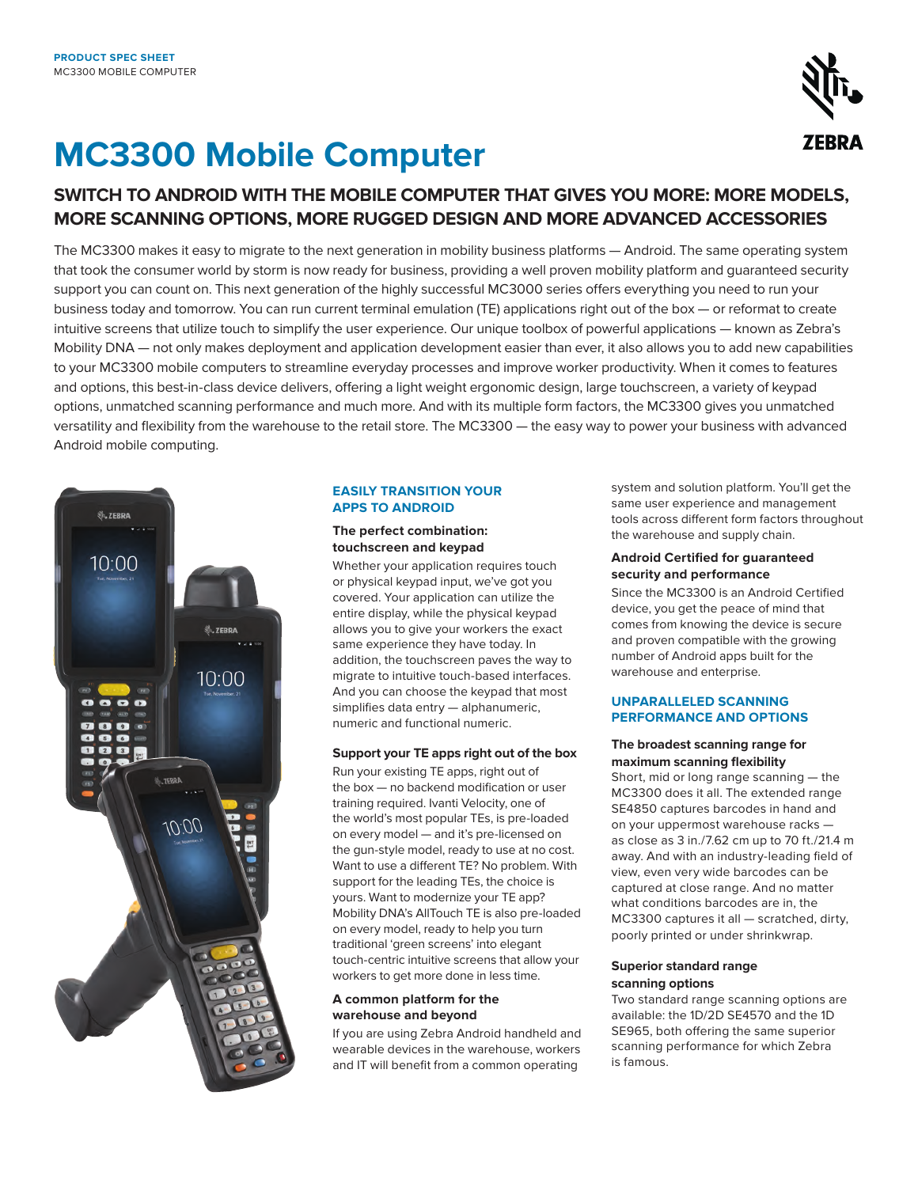

# **MC3300 Mobile Computer**

# **SWITCH TO ANDROID WITH THE MOBILE COMPUTER THAT GIVES YOU MORE: MORE MODELS, MORE SCANNING OPTIONS, MORE RUGGED DESIGN AND MORE ADVANCED ACCESSORIES**

The MC3300 makes it easy to migrate to the next generation in mobility business platforms — Android. The same operating system that took the consumer world by storm is now ready for business, providing a well proven mobility platform and guaranteed security support you can count on. This next generation of the highly successful MC3000 series offers everything you need to run your business today and tomorrow. You can run current terminal emulation (TE) applications right out of the box — or reformat to create intuitive screens that utilize touch to simplify the user experience. Our unique toolbox of powerful applications — known as Zebra's Mobility DNA — not only makes deployment and application development easier than ever, it also allows you to add new capabilities to your MC3300 mobile computers to streamline everyday processes and improve worker productivity. When it comes to features and options, this best-in-class device delivers, offering a light weight ergonomic design, large touchscreen, a variety of keypad options, unmatched scanning performance and much more. And with its multiple form factors, the MC3300 gives you unmatched versatility and flexibility from the warehouse to the retail store. The MC3300 — the easy way to power your business with advanced Android mobile computing.



### **EASILY TRANSITION YOUR APPS TO ANDROID**

### **The perfect combination: touchscreen and keypad**

Whether your application requires touch or physical keypad input, we've got you covered. Your application can utilize the entire display, while the physical keypad allows you to give your workers the exact same experience they have today. In addition, the touchscreen paves the way to migrate to intuitive touch-based interfaces. And you can choose the keypad that most simplifies data entry — alphanumeric, numeric and functional numeric.

# **Support your TE apps right out of the box**

Run your existing TE apps, right out of the box — no backend modification or user training required. Ivanti Velocity, one of the world's most popular TEs, is pre-loaded on every model — and it's pre-licensed on the gun-style model, ready to use at no cost. Want to use a different TE? No problem. With support for the leading TEs, the choice is yours. Want to modernize your TE app? Mobility DNA's AllTouch TE is also pre-loaded on every model, ready to help you turn traditional 'green screens' into elegant touch-centric intuitive screens that allow your workers to get more done in less time.

#### **A common platform for the warehouse and beyond**

If you are using Zebra Android handheld and wearable devices in the warehouse, workers and IT will benefit from a common operating

system and solution platform. You'll get the same user experience and management tools across different form factors throughout the warehouse and supply chain.

#### **Android Certified for guaranteed security and performance**

Since the MC3300 is an Android Certified device, you get the peace of mind that comes from knowing the device is secure and proven compatible with the growing number of Android apps built for the warehouse and enterprise.

# **UNPARALLELED SCANNING PERFORMANCE AND OPTIONS**

# **The broadest scanning range for maximum scanning flexibility**

Short, mid or long range scanning — the MC3300 does it all. The extended range SE4850 captures barcodes in hand and on your uppermost warehouse racks as close as 3 in./7.62 cm up to 70 ft./21.4 m away. And with an industry-leading field of view, even very wide barcodes can be captured at close range. And no matter what conditions barcodes are in, the MC3300 captures it all — scratched, dirty, poorly printed or under shrinkwrap.

#### **Superior standard range scanning options**

Two standard range scanning options are available: the 1D/2D SE4570 and the 1D SE965, both offering the same superior scanning performance for which Zebra is famous.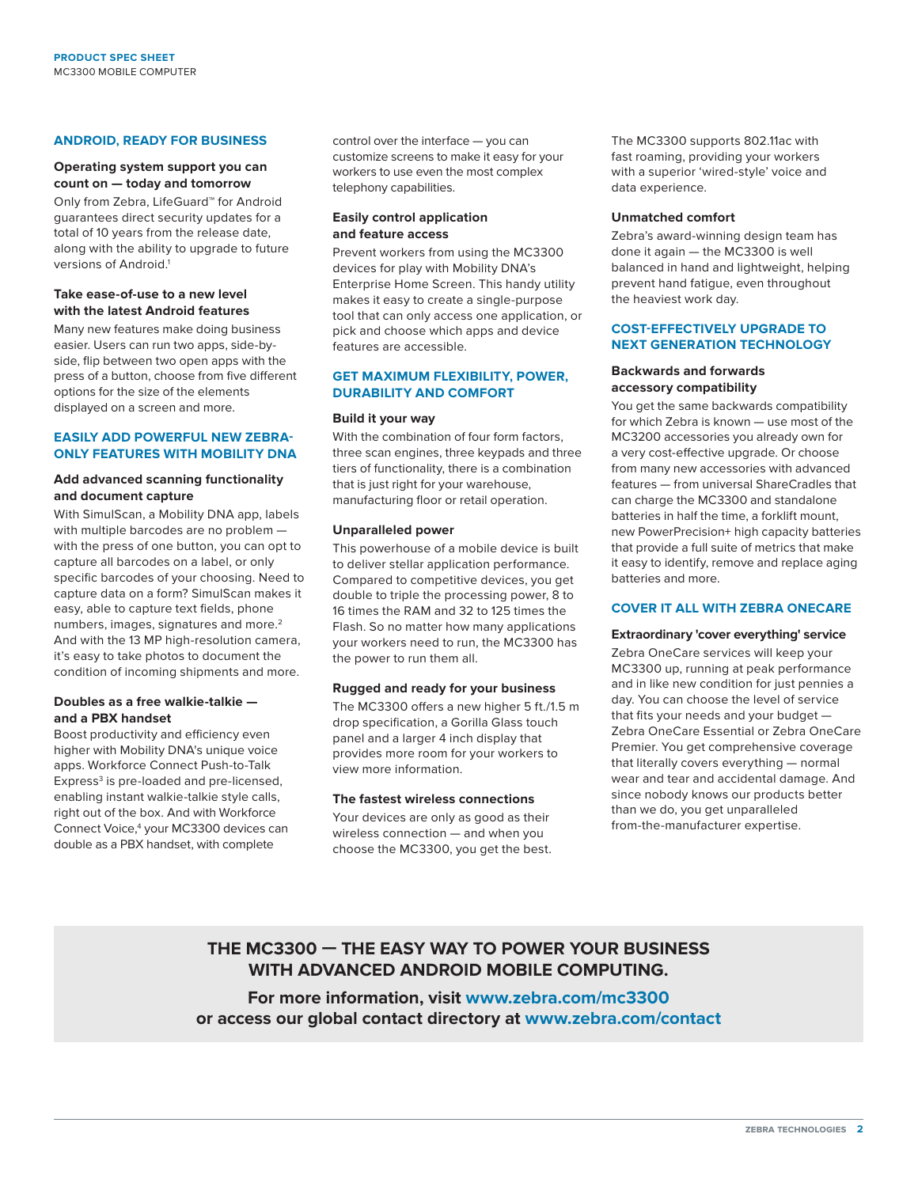# **ANDROID, READY FOR BUSINESS**

#### **Operating system support you can count on — today and tomorrow**

Only from Zebra, LifeGuard™ for Android guarantees direct security updates for a total of 10 years from the release date, along with the ability to upgrade to future versions of Android.<sup>1</sup>

#### **Take ease-of-use to a new level with the latest Android features**

Many new features make doing business easier. Users can run two apps, side-byside, flip between two open apps with the press of a button, choose from five different options for the size of the elements displayed on a screen and more.

#### **EASILY ADD POWERFUL NEW ZEBRA-ONLY FEATURES WITH MOBILITY DNA**

### **Add advanced scanning functionality and document capture**

With SimulScan, a Mobility DNA app, labels with multiple barcodes are no problem with the press of one button, you can opt to capture all barcodes on a label, or only specific barcodes of your choosing. Need to capture data on a form? SimulScan makes it easy, able to capture text fields, phone numbers, images, signatures and more.2 And with the 13 MP high-resolution camera, it's easy to take photos to document the condition of incoming shipments and more.

#### **Doubles as a free walkie-talkie and a PBX handset**

Boost productivity and efficiency even higher with Mobility DNA's unique voice apps. Workforce Connect Push-to-Talk Express<sup>3</sup> is pre-loaded and pre-licensed, enabling instant walkie-talkie style calls, right out of the box. And with Workforce Connect Voice,<sup>4</sup> your MC3300 devices can double as a PBX handset, with complete

control over the interface — you can customize screens to make it easy for your workers to use even the most complex telephony capabilities.

#### **Easily control application and feature access**

Prevent workers from using the MC3300 devices for play with Mobility DNA's Enterprise Home Screen. This handy utility makes it easy to create a single-purpose tool that can only access one application, or pick and choose which apps and device features are accessible.

#### **GET MAXIMUM FLEXIBILITY, POWER, DURABILITY AND COMFORT**

#### **Build it your way**

With the combination of four form factors, three scan engines, three keypads and three tiers of functionality, there is a combination that is just right for your warehouse, manufacturing floor or retail operation.

#### **Unparalleled power**

This powerhouse of a mobile device is built to deliver stellar application performance. Compared to competitive devices, you get double to triple the processing power, 8 to 16 times the RAM and 32 to 125 times the Flash. So no matter how many applications your workers need to run, the MC3300 has the power to run them all.

#### **Rugged and ready for your business**

The MC3300 offers a new higher 5 ft./1.5 m drop specification, a Gorilla Glass touch panel and a larger 4 inch display that provides more room for your workers to view more information.

#### **The fastest wireless connections**

Your devices are only as good as their wireless connection — and when you choose the MC3300, you get the best.

The MC3300 supports 802.11ac with fast roaming, providing your workers with a superior 'wired-style' voice and data experience.

#### **Unmatched comfort**

Zebra's award-winning design team has done it again — the MC3300 is well balanced in hand and lightweight, helping prevent hand fatigue, even throughout the heaviest work day.

#### **COST-EFFECTIVELY UPGRADE TO NEXT GENERATION TECHNOLOGY**

#### **Backwards and forwards accessory compatibility**

You get the same backwards compatibility for which Zebra is known — use most of the MC3200 accessories you already own for a very cost-effective upgrade. Or choose from many new accessories with advanced features — from universal ShareCradles that can charge the MC3300 and standalone batteries in half the time, a forklift mount, new PowerPrecision+ high capacity batteries that provide a full suite of metrics that make it easy to identify, remove and replace aging batteries and more.

### **COVER IT ALL WITH ZEBRA ONECARE**

#### **Extraordinary 'cover everything' service**

Zebra OneCare services will keep your MC3300 up, running at peak performance and in like new condition for just pennies a day. You can choose the level of service that fits your needs and your budget — Zebra OneCare Essential or Zebra OneCare Premier. You get comprehensive coverage that literally covers everything — normal wear and tear and accidental damage. And since nobody knows our products better than we do, you get unparalleled from-the-manufacturer expertise.

# **THE MC3300 — THE EASY WAY TO POWER YOUR BUSINESS WITH ADVANCED ANDROID MOBILE COMPUTING.**

**For more information, visit [www.zebra.com/](http://www.zebra.com/mc3300)mc3300 or access our global contact directory at [www.zebra.com/contact](http://www.zebra.com/contact)**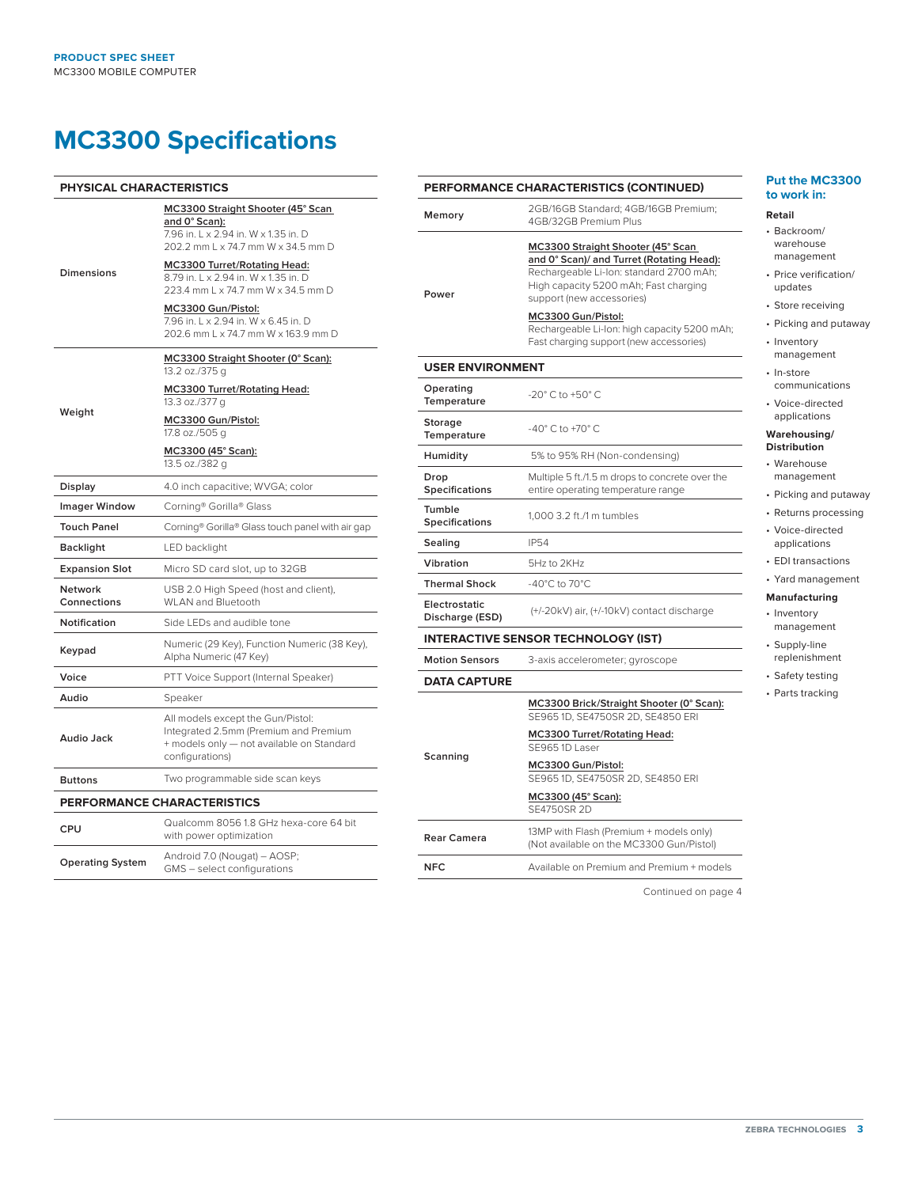# **MC3300 Specifications**

| <b>PHYSICAL CHARACTERISTICS</b> |                                                                                                                                            |  |  |
|---------------------------------|--------------------------------------------------------------------------------------------------------------------------------------------|--|--|
|                                 | MC3300 Straight Shooter (45° Scan<br>and 0° Scan):<br>7.96 in. L x 2.94 in. W x 1.35 in. D<br>202.2 mm L x 74.7 mm W x 34.5 mm D           |  |  |
| <b>Dimensions</b>               | <b>MC3300 Turret/Rotating Head:</b><br>8.79 in, L x 2.94 in, W x 1.35 in, D<br>223.4 mm L x 74.7 mm W x 34.5 mm D                          |  |  |
|                                 | MC3300 Gun/Pistol:<br>7.96 in. L x 2.94 in. W x 6.45 in. D<br>202.6 mm L x 74.7 mm W x 163.9 mm D                                          |  |  |
| Weight                          | MC3300 Straight Shooter (0° Scan):<br>13.2 oz./375 g                                                                                       |  |  |
|                                 | <b>MC3300 Turret/Rotating Head:</b><br>13.3 oz./377 g                                                                                      |  |  |
|                                 | MC3300 Gun/Pistol:<br>17.8 oz./505 g                                                                                                       |  |  |
|                                 | MC3300 (45° Scan):<br>13.5 oz./382 g                                                                                                       |  |  |
| Display                         | 4.0 inch capacitive; WVGA; color                                                                                                           |  |  |
| <b>Imager Window</b>            | Corning® Gorilla® Glass                                                                                                                    |  |  |
| <b>Touch Panel</b>              | Corning® Gorilla® Glass touch panel with air gap                                                                                           |  |  |
| <b>Backlight</b>                | LED backlight                                                                                                                              |  |  |
| <b>Expansion Slot</b>           | Micro SD card slot, up to 32GB                                                                                                             |  |  |
| Network<br>Connections          | USB 2.0 High Speed (host and client),<br>WI AN and Bluetooth                                                                               |  |  |
| Notification                    | Side LEDs and audible tone                                                                                                                 |  |  |
| Keypad                          | Numeric (29 Key), Function Numeric (38 Key),<br>Alpha Numeric (47 Key)                                                                     |  |  |
| Voice                           | PTT Voice Support (Internal Speaker)                                                                                                       |  |  |
| Audio                           | Speaker                                                                                                                                    |  |  |
| <b>Audio Jack</b>               | All models except the Gun/Pistol:<br>Integrated 2.5mm (Premium and Premium<br>+ models only - not available on Standard<br>configurations) |  |  |
| <b>Buttons</b>                  | Two programmable side scan keys                                                                                                            |  |  |
|                                 | PERFORMANCE CHARACTERISTICS                                                                                                                |  |  |
| CPU                             | Qualcomm 8056 1.8 GHz hexa-core 64 bit<br>with power optimization                                                                          |  |  |
| <b>Operating System</b>         | Android 7.0 (Nougat) - AOSP;<br>GMS - select configurations                                                                                |  |  |

| PERFORMANCE CHARACTERISTICS (CONTINUED)                  | Put the MC3300<br>to work in:                                                                                                                                                                                                                                                                                    |                                                                                                                                         |  |  |  |
|----------------------------------------------------------|------------------------------------------------------------------------------------------------------------------------------------------------------------------------------------------------------------------------------------------------------------------------------------------------------------------|-----------------------------------------------------------------------------------------------------------------------------------------|--|--|--|
| Memory                                                   | 2GB/16GB Standard; 4GB/16GB Premium;<br>4GB/32GB Premium Plus                                                                                                                                                                                                                                                    | Retail                                                                                                                                  |  |  |  |
| Power                                                    | MC3300 Straight Shooter (45° Scan<br>and 0° Scan)/ and Turret (Rotating Head):<br>Rechargeable Li-Ion: standard 2700 mAh;<br>High capacity 5200 mAh; Fast charging<br>support (new accessories)<br>MC3300 Gun/Pistol:<br>Rechargeable Li-Ion: high capacity 5200 mAh;<br>Fast charging support (new accessories) | • Backroom/<br>warehouse<br>management<br>• Price verification/<br>updates<br>• Store receiving<br>• Picking and putaway<br>• Inventory |  |  |  |
| management<br><b>USER ENVIRONMENT</b><br>• In-store      |                                                                                                                                                                                                                                                                                                                  |                                                                                                                                         |  |  |  |
| Operating<br>Temperature                                 | $-20^{\circ}$ C to $+50^{\circ}$ C                                                                                                                                                                                                                                                                               | communications<br>• Voice-directed                                                                                                      |  |  |  |
| <b>Storage</b><br>Temperature                            | -40 $^{\circ}$ C to +70 $^{\circ}$ C                                                                                                                                                                                                                                                                             | applications<br>Warehousing/                                                                                                            |  |  |  |
| Humidity                                                 | 5% to 95% RH (Non-condensing)                                                                                                                                                                                                                                                                                    | <b>Distribution</b>                                                                                                                     |  |  |  |
| Drop<br><b>Specifications</b>                            | Multiple 5 ft./1.5 m drops to concrete over the<br>entire operating temperature range                                                                                                                                                                                                                            | • Warehouse<br>management                                                                                                               |  |  |  |
| Tumble                                                   | 1,000 3.2 ft./1 m tumbles                                                                                                                                                                                                                                                                                        | • Picking and putaway<br>• Returns processing                                                                                           |  |  |  |
| <b>Specifications</b><br>Sealing                         | <b>IP54</b>                                                                                                                                                                                                                                                                                                      | • Voice-directed<br>applications                                                                                                        |  |  |  |
| Vibration                                                | 5Hz to 2KHz                                                                                                                                                                                                                                                                                                      | • EDI transactions                                                                                                                      |  |  |  |
| <b>Thermal Shock</b>                                     | -40°C to 70°C                                                                                                                                                                                                                                                                                                    | • Yard management                                                                                                                       |  |  |  |
| Electrostatic<br>Discharge (ESD)                         | (+/-20kV) air, (+/-10kV) contact discharge                                                                                                                                                                                                                                                                       | <b>Manufacturing</b><br>• Inventory                                                                                                     |  |  |  |
| management<br><b>INTERACTIVE SENSOR TECHNOLOGY (IST)</b> |                                                                                                                                                                                                                                                                                                                  |                                                                                                                                         |  |  |  |
| <b>Motion Sensors</b>                                    | 3-axis accelerometer; gyroscope                                                                                                                                                                                                                                                                                  | • Supply-line<br>replenishment                                                                                                          |  |  |  |
| <b>DATA CAPTURE</b>                                      |                                                                                                                                                                                                                                                                                                                  | • Safety testing                                                                                                                        |  |  |  |
|                                                          | MC3300 Brick/Straight Shooter (0° Scan):<br>SE965 1D, SE4750SR 2D, SE4850 ERI                                                                                                                                                                                                                                    | • Parts tracking                                                                                                                        |  |  |  |
| Scanning                                                 | <b>MC3300 Turret/Rotating Head:</b><br>SE965 1D Laser                                                                                                                                                                                                                                                            |                                                                                                                                         |  |  |  |
|                                                          | MC3300 Gun/Pistol:<br>SE965 1D, SE4750SR 2D, SE4850 ERI                                                                                                                                                                                                                                                          |                                                                                                                                         |  |  |  |
|                                                          | MC3300 (45° Scan):<br>SE4750SR 2D                                                                                                                                                                                                                                                                                |                                                                                                                                         |  |  |  |
| <b>Rear Camera</b>                                       | 13MP with Flash (Premium + models only)<br>(Not available on the MC3300 Gun/Pistol)                                                                                                                                                                                                                              |                                                                                                                                         |  |  |  |
| <b>NFC</b>                                               | Available on Premium and Premium + models                                                                                                                                                                                                                                                                        |                                                                                                                                         |  |  |  |
|                                                          |                                                                                                                                                                                                                                                                                                                  |                                                                                                                                         |  |  |  |

Continued on page 4